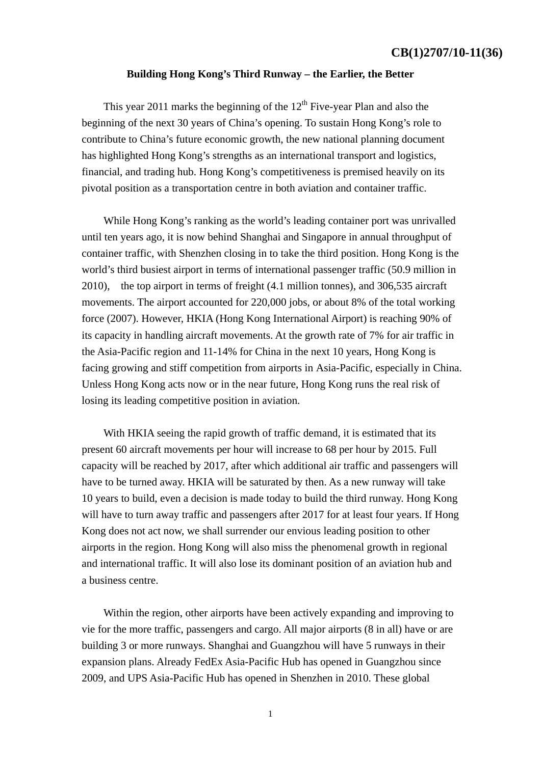## **CB(1)2707/10-11(36)**

## **Building Hong Kong's Third Runway – the Earlier, the Better**

This year 2011 marks the beginning of the  $12<sup>th</sup>$  Five-year Plan and also the beginning of the next 30 years of China's opening. To sustain Hong Kong's role to contribute to China's future economic growth, the new national planning document has highlighted Hong Kong's strengths as an international transport and logistics, financial, and trading hub. Hong Kong's competitiveness is premised heavily on its pivotal position as a transportation centre in both aviation and container traffic.

 While Hong Kong's ranking as the world's leading container port was unrivalled until ten years ago, it is now behind Shanghai and Singapore in annual throughput of container traffic, with Shenzhen closing in to take the third position. Hong Kong is the world's third busiest airport in terms of international passenger traffic (50.9 million in 2010), the top airport in terms of freight (4.1 million tonnes), and 306,535 aircraft movements. The airport accounted for 220,000 jobs, or about 8% of the total working force (2007). However, HKIA (Hong Kong International Airport) is reaching 90% of its capacity in handling aircraft movements. At the growth rate of 7% for air traffic in the Asia-Pacific region and 11-14% for China in the next 10 years, Hong Kong is facing growing and stiff competition from airports in Asia-Pacific, especially in China. Unless Hong Kong acts now or in the near future, Hong Kong runs the real risk of losing its leading competitive position in aviation.

 With HKIA seeing the rapid growth of traffic demand, it is estimated that its present 60 aircraft movements per hour will increase to 68 per hour by 2015. Full capacity will be reached by 2017, after which additional air traffic and passengers will have to be turned away. HKIA will be saturated by then. As a new runway will take 10 years to build, even a decision is made today to build the third runway. Hong Kong will have to turn away traffic and passengers after 2017 for at least four years. If Hong Kong does not act now, we shall surrender our envious leading position to other airports in the region. Hong Kong will also miss the phenomenal growth in regional and international traffic. It will also lose its dominant position of an aviation hub and a business centre.

 Within the region, other airports have been actively expanding and improving to vie for the more traffic, passengers and cargo. All major airports (8 in all) have or are building 3 or more runways. Shanghai and Guangzhou will have 5 runways in their expansion plans. Already FedEx Asia-Pacific Hub has opened in Guangzhou since 2009, and UPS Asia-Pacific Hub has opened in Shenzhen in 2010. These global

1